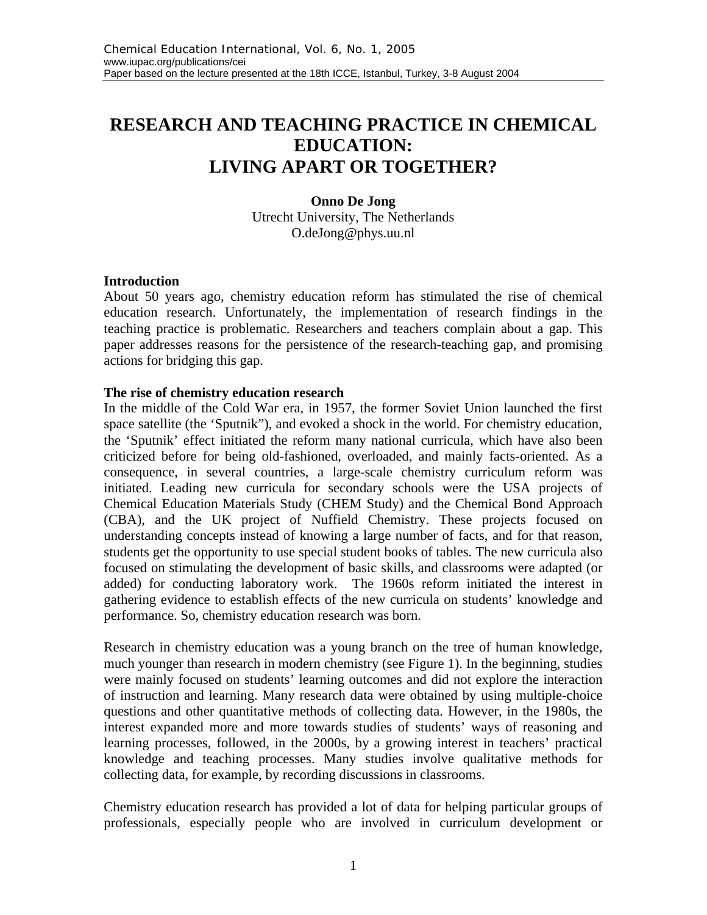# **RESEARCH AND TEACHING PRACTICE IN CHEMICAL EDUCATION: LIVING APART OR TOGETHER?**

**Onno De Jong** Utrecht University, The Netherlands O.deJong@phys.uu.nl

### **Introduction**

About 50 years ago, chemistry education reform has stimulated the rise of chemical education research. Unfortunately, the implementation of research findings in the teaching practice is problematic. Researchers and teachers complain about a gap. This paper addresses reasons for the persistence of the research-teaching gap, and promising actions for bridging this gap.

#### **The rise of chemistry education research**

In the middle of the Cold War era, in 1957, the former Soviet Union launched the first space satellite (the 'Sputnik"), and evoked a shock in the world. For chemistry education, the 'Sputnik' effect initiated the reform many national curricula, which have also been criticized before for being old-fashioned, overloaded, and mainly facts-oriented. As a consequence, in several countries, a large-scale chemistry curriculum reform was initiated. Leading new curricula for secondary schools were the USA projects of Chemical Education Materials Study (CHEM Study) and the Chemical Bond Approach (CBA), and the UK project of Nuffield Chemistry. These projects focused on understanding concepts instead of knowing a large number of facts, and for that reason, students get the opportunity to use special student books of tables. The new curricula also focused on stimulating the development of basic skills, and classrooms were adapted (or added) for conducting laboratory work. The 1960s reform initiated the interest in gathering evidence to establish effects of the new curricula on students' knowledge and performance. So, chemistry education research was born.

Research in chemistry education was a young branch on the tree of human knowledge, much younger than research in modern chemistry (see Figure 1). In the beginning, studies were mainly focused on students' learning outcomes and did not explore the interaction of instruction and learning. Many research data were obtained by using multiple-choice questions and other quantitative methods of collecting data. However, in the 1980s, the interest expanded more and more towards studies of students' ways of reasoning and learning processes, followed, in the 2000s, by a growing interest in teachers' practical knowledge and teaching processes. Many studies involve qualitative methods for collecting data, for example, by recording discussions in classrooms.

Chemistry education research has provided a lot of data for helping particular groups of professionals, especially people who are involved in curriculum development or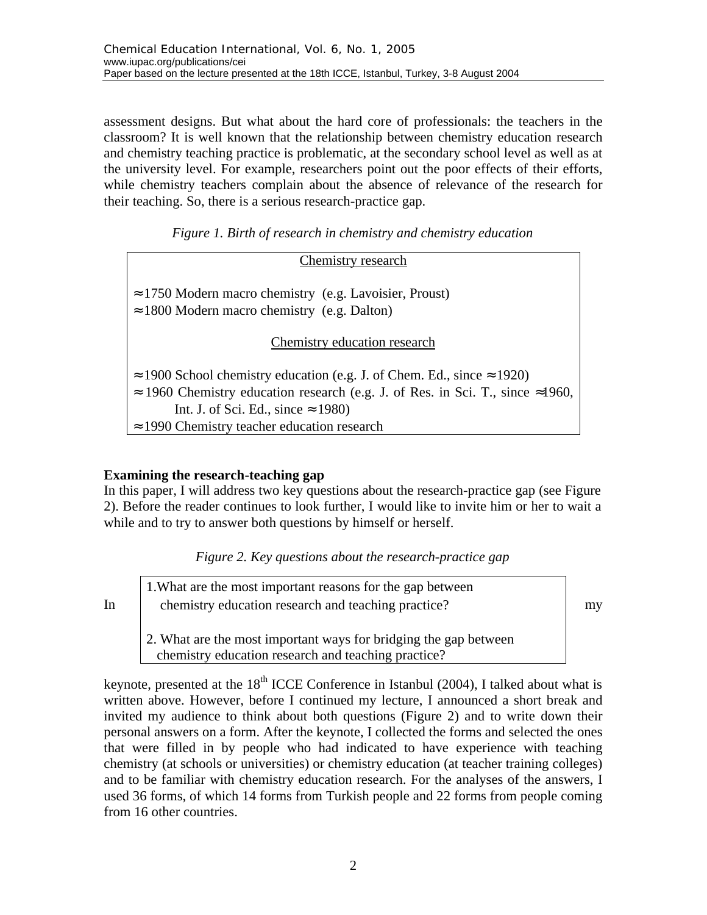assessment designs. But what about the hard core of professionals: the teachers in the classroom? It is well known that the relationship between chemistry education research and chemistry teaching practice is problematic, at the secondary school level as well as at the university level. For example, researchers point out the poor effects of their efforts, while chemistry teachers complain about the absence of relevance of the research for their teaching. So, there is a serious research-practice gap.

*Figure 1. Birth of research in chemistry and chemistry education*

| Chemistry research                                                                                                    |  |  |  |  |
|-----------------------------------------------------------------------------------------------------------------------|--|--|--|--|
| $\approx$ 1750 Modern macro chemistry (e.g. Lavoisier, Proust)<br>$\approx$ 1800 Modern macro chemistry (e.g. Dalton) |  |  |  |  |
| Chemistry education research                                                                                          |  |  |  |  |
| $\approx$ 1900 School chemistry education (e.g. J. of Chem. Ed., since $\approx$ 1920)                                |  |  |  |  |
| $\approx$ 1960 Chemistry education research (e.g. J. of Res. in Sci. T., since $\approx$ 1960,                        |  |  |  |  |
| Int. J. of Sci. Ed., since $\approx$ 1980)                                                                            |  |  |  |  |
| $\approx$ 1990 Chemistry teacher education research                                                                   |  |  |  |  |

## **Examining the research-teaching gap**

In this paper, I will address two key questions about the research-practice gap (see Figure 2). Before the reader continues to look further, I would like to invite him or her to wait a while and to try to answer both questions by himself or herself.

|  |  |  | Figure 2. Key questions about the research-practice gap |  |
|--|--|--|---------------------------------------------------------|--|
|--|--|--|---------------------------------------------------------|--|

In chemistry education research and teaching practice?  $\vert$  my 1.What are the most important reasons for the gap between 2. What are the most important ways for bridging the gap between chemistry education research and teaching practice?

keynote, presented at the  $18<sup>th</sup>$  ICCE Conference in Istanbul (2004), I talked about what is written above. However, before I continued my lecture, I announced a short break and invited my audience to think about both questions (Figure 2) and to write down their personal answers on a form. After the keynote, I collected the forms and selected the ones that were filled in by people who had indicated to have experience with teaching chemistry (at schools or universities) or chemistry education (at teacher training colleges) and to be familiar with chemistry education research. For the analyses of the answers, I used 36 forms, of which 14 forms from Turkish people and 22 forms from people coming from 16 other countries.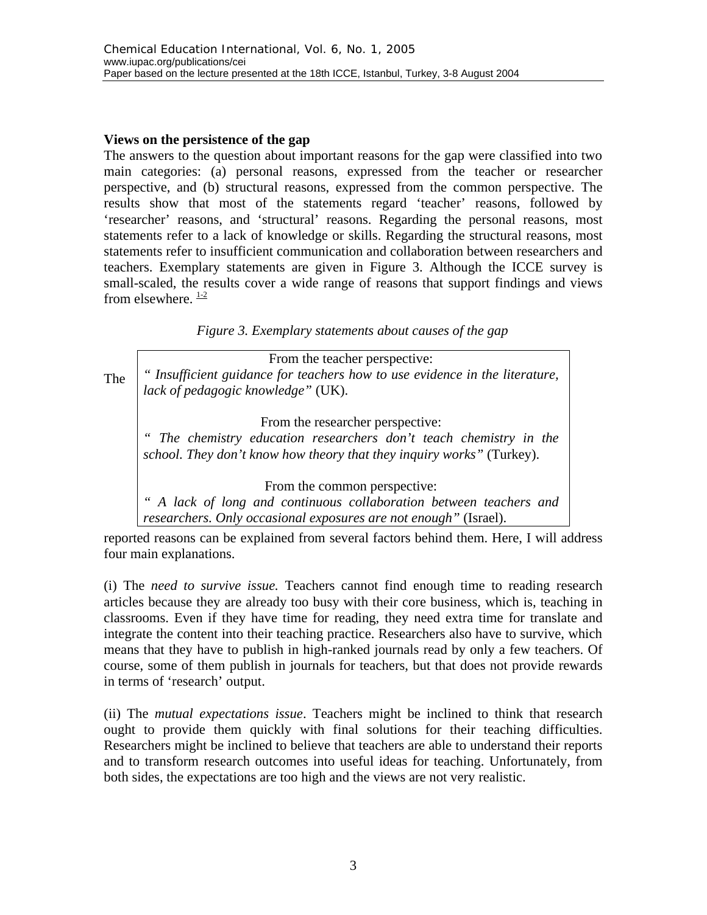## **Views on the persistence of the gap**

The answers to the question about important reasons for the gap were classified into two main categories: (a) personal reasons, expressed from the teacher or researcher perspective, and (b) structural reasons, expressed from the common perspective. The results show that most of the statements regard 'teacher' reasons, followed by 'researcher' reasons, and 'structural' reasons. Regarding the personal reasons, most statements refer to a lack of knowledge or skills. Regarding the structural reasons, most statements refer to insufficient communication and collaboration between researchers and teachers. Exemplary statements are given in Figure 3. Although the ICCE survey is small-scaled, the results cover a wide range of reasons that support findings and views from elsewhere.  $\frac{1-2}{2}$ 

*Figure 3. Exemplary statements about causes of the gap*

The From the teacher perspective: *" Insufficient guidance for teachers how to use evidence in the literature, lack of pedagogic knowledge"* (UK). From the researcher perspective: *" The chemistry education researchers don't teach chemistry in the school. They don't know how theory that they inquiry works"* (Turkey).

From the common perspective:

*" A lack of long and continuous collaboration between teachers and researchers. Only occasional exposures are not enough"* (Israel).

reported reasons can be explained from several factors behind them. Here, I will address four main explanations.

(i) The *need to survive issue.* Teachers cannot find enough time to reading research articles because they are already too busy with their core business, which is, teaching in classrooms. Even if they have time for reading, they need extra time for translate and integrate the content into their teaching practice. Researchers also have to survive, which means that they have to publish in high-ranked journals read by only a few teachers. Of course, some of them publish in journals for teachers, but that does not provide rewards in terms of 'research' output.

(ii) The *mutual expectations issue*. Teachers might be inclined to think that research ought to provide them quickly with final solutions for their teaching difficulties. Researchers might be inclined to believe that teachers are able to understand their reports and to transform research outcomes into useful ideas for teaching. Unfortunately, from both sides, the expectations are too high and the views are not very realistic.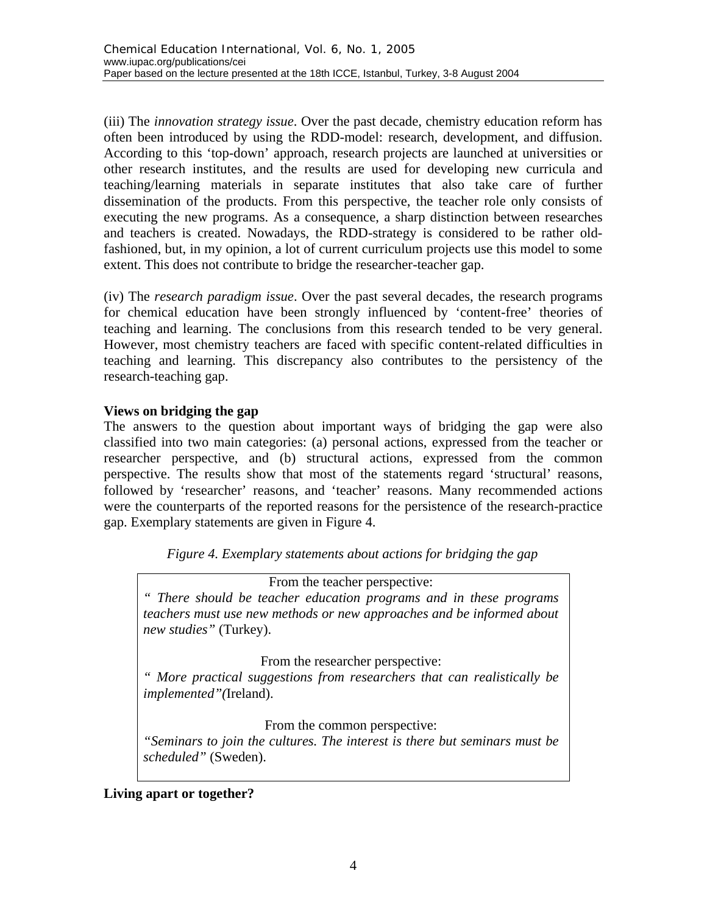(iii) The *innovation strategy issue*. Over the past decade, chemistry education reform has often been introduced by using the RDD-model: research, development, and diffusion. According to this 'top-down' approach, research projects are launched at universities or other research institutes, and the results are used for developing new curricula and teaching/learning materials in separate institutes that also take care of further dissemination of the products. From this perspective, the teacher role only consists of executing the new programs. As a consequence, a sharp distinction between researches and teachers is created. Nowadays, the RDD-strategy is considered to be rather oldfashioned, but, in my opinion, a lot of current curriculum projects use this model to some extent. This does not contribute to bridge the researcher-teacher gap.

(iv) The *research paradigm issue*. Over the past several decades, the research programs for chemical education have been strongly influenced by 'content-free' theories of teaching and learning. The conclusions from this research tended to be very general. However, most chemistry teachers are faced with specific content-related difficulties in teaching and learning. This discrepancy also contributes to the persistency of the research-teaching gap.

# **Views on bridging the gap**

The answers to the question about important ways of bridging the gap were also classified into two main categories: (a) personal actions, expressed from the teacher or researcher perspective, and (b) structural actions, expressed from the common perspective. The results show that most of the statements regard 'structural' reasons, followed by 'researcher' reasons, and 'teacher' reasons. Many recommended actions were the counterparts of the reported reasons for the persistence of the research-practice gap. Exemplary statements are given in Figure 4.

*Figure 4. Exemplary statements about actions for bridging the gap*

From the teacher perspective:

*" There should be teacher education programs and in these programs teachers must use new methods or new approaches and be informed about new studies"* (Turkey).

From the researcher perspective:

*" More practical suggestions from researchers that can realistically be implemented"(*Ireland).

From the common perspective:

*"Seminars to join the cultures. The interest is there but seminars must be scheduled"* (Sweden).

# **Living apart or together?**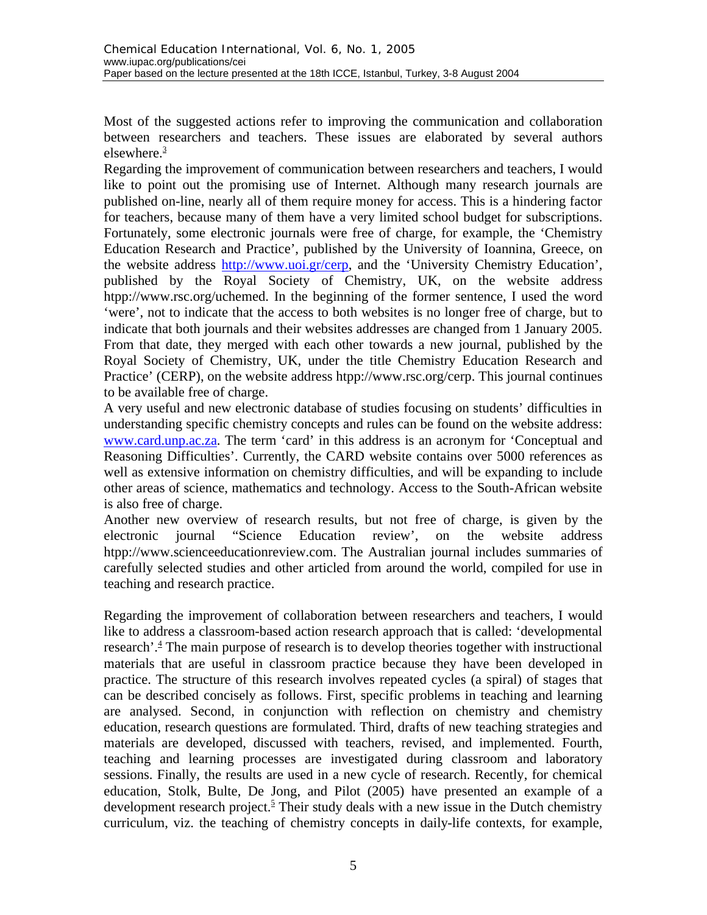Most of the suggested actions refer to improving the communication and collaboration between researchers and teachers. These issues are elaborated by several authors elsewhere. $\frac{3}{2}$ 

Regarding the improvement of communication between researchers and teachers, I would like to point out the promising use of Internet. Although many research journals are published on-line, nearly all of them require money for access. This is a hindering factor for teachers, because many of them have a very limited school budget for subscriptions. Fortunately, some electronic journals were free of charge, for example, the 'Chemistry Education Research and Practice', published by the University of Ioannina, Greece, on the website address http://www.uoi.gr/cerp, and the 'University Chemistry Education', published by the Royal Society of Chemistry, UK, on the website address htpp://www.rsc.org/uchemed. In the beginning of the former sentence, I used the word 'were', not to indicate that the access to both websites is no longer free of charge, but to indicate that both journals and their websites addresses are changed from 1 January 2005. From that date, they merged with each other towards a new journal, published by the Royal Society of Chemistry, UK, under the title Chemistry Education Research and Practice' (CERP), on the website address htpp://www.rsc.org/cerp. This journal continues to be available free of charge.

A very useful and new electronic database of studies focusing on students' difficulties in understanding specific chemistry concepts and rules can be found on the website address: www.card.unp.ac.za. The term 'card' in this address is an acronym for 'Conceptual and Reasoning Difficulties'. Currently, the CARD website contains over 5000 references as well as extensive information on chemistry difficulties, and will be expanding to include other areas of science, mathematics and technology. Access to the South-African website is also free of charge.

Another new overview of research results, but not free of charge, is given by the electronic journal "Science Education review', on the website address htpp://www.scienceeducationreview.com. The Australian journal includes summaries of carefully selected studies and other articled from around the world, compiled for use in teaching and research practice.

Regarding the improvement of collaboration between researchers and teachers, I would like to address a classroom-based action research approach that is called: 'developmental research'.<sup>4</sup> The main purpose of research is to develop theories together with instructional materials that are useful in classroom practice because they have been developed in practice. The structure of this research involves repeated cycles (a spiral) of stages that can be described concisely as follows. First, specific problems in teaching and learning are analysed. Second, in conjunction with reflection on chemistry and chemistry education, research questions are formulated. Third, drafts of new teaching strategies and materials are developed, discussed with teachers, revised, and implemented. Fourth, teaching and learning processes are investigated during classroom and laboratory sessions. Finally, the results are used in a new cycle of research. Recently, for chemical education, Stolk, Bulte, De Jong, and Pilot (2005) have presented an example of a development research project.<sup>5</sup> Their study deals with a new issue in the Dutch chemistry curriculum, viz. the teaching of chemistry concepts in daily-life contexts, for example,